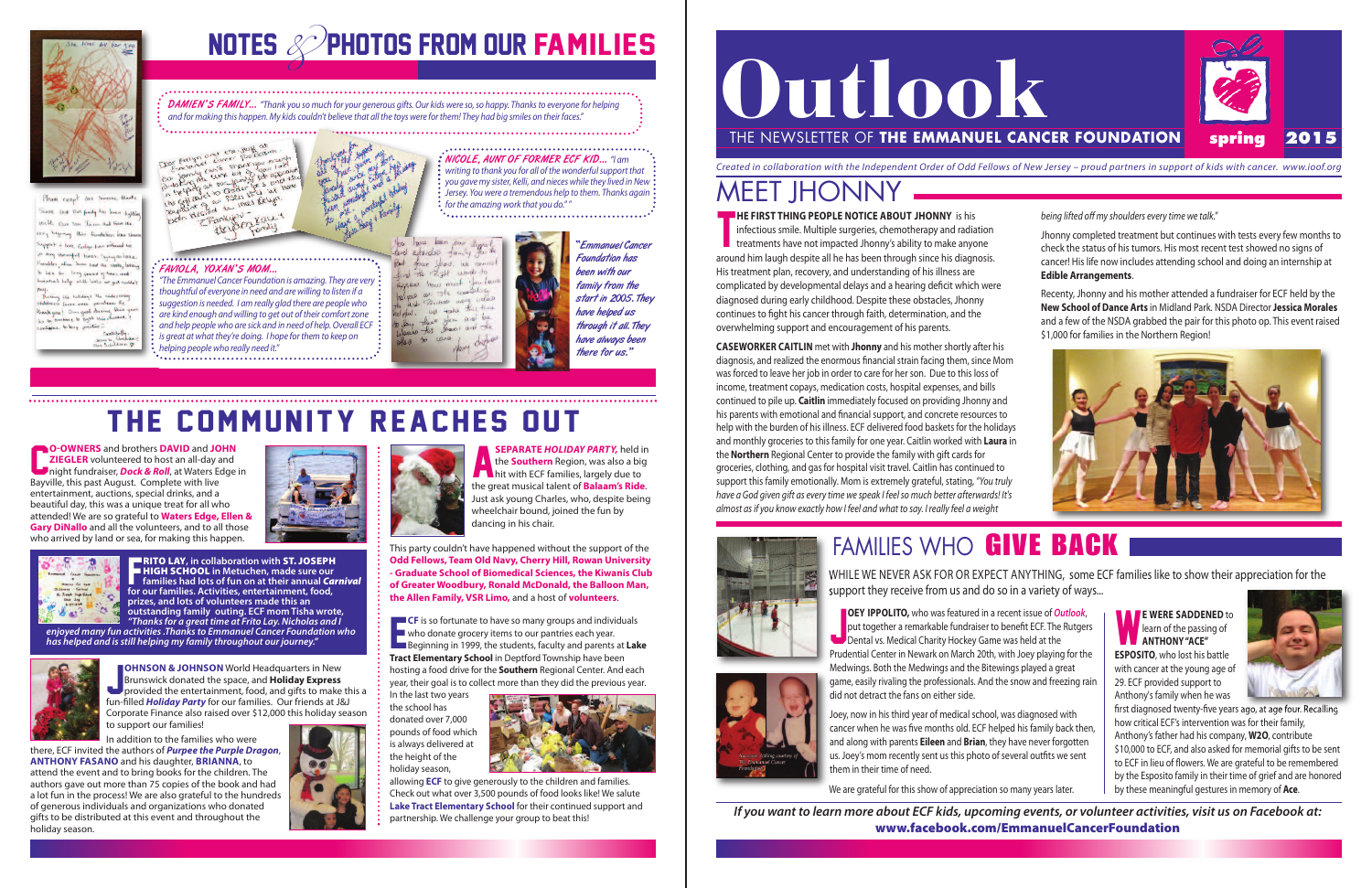

Please except our sincere thanks.

Since 2010 Our fundy has been fighting Will, Over Son Town, and From the very beginning this Gundahim kas she Support + love, Excloye have interested are in my strasful times. Ching on here Shendoler, when Jesus soud the shelfe, fasten to bee for long period of times and<br>financial letip with bitts we just contact

peuf.<br>- Burdidirov frans wars periodisson like<br>- Chaldirov frans wars periodisson like<br>- Ko in combour le light like chaasene ?<br>- Ko informatie le leap positive ...<br>- Continues le leap positive ... Constellation

Jasons, Shaladar

# NOTES  $\mathscr{D}$ PHOTOS FROM OUR FAMILIES



WHILE WE NEVER ASK FOR OR EXPECT ANYTHING, some ECF families like to show their appreciation for the support they receive from us and do so in a variety of ways...

**he FIRST THING PEOPLE NOTICE ABOUT JHONNY** is his infectious smile. Multiple surgeries, chemotherapy and radiative attention and the structure attention and the structure attention and the structure attention and the stru infectious smile. Multiple surgeries, chemotherapy and radiation treatments have not impacted Jhonny's ability to make anyone around him laugh despite all he has been through since his diagnosis. His treatment plan, recovery, and understanding of his illness are complicated by developmental delays and a hearing deficit which were diagnosed during early childhood. Despite these obstacles, Jhonny continues to fight his cancer through faith, determination, and the overwhelming support and encouragement of his parents.

Recenty, Jhonny and his mother attended a fundraiser for ECF held by the **New School of Dance Arts** in Midland Park. NSDA Director **Jessica Morales** and a few of the NSDA grabbed the pair for this photo op. This event raised \$1,000 for families in the Northern Region!



If you want to learn more about ECF kids, upcoming events, or volunteer activities, visit us on Facebook at: **www.facebook.com/EmmanuelCancerFoundation**

**cASEWoRKER cAitLiN** met with **Jhonny** and his mother shortly after his diagnosis, and realized the enormous financial strain facing them, since Mom was forced to leave her job in order to care for her son. Due to this loss of income, treatment copays, medication costs, hospital expenses, and bills continued to pile up. **caitlin** immediately focused on providing Jhonny and his parents with emotional and financial support, and concrete resources to help with the burden of his illness. ECF delivered food baskets for the holidays and monthly groceries to this family for one year. Caitlin worked with **Laura** in the **Northern** Regional Center to provide the family with gift cards for groceries, clothing, and gas for hospital visit travel. Caitlin has continued to support this family emotionally. Mom is extremely grateful, stating, "You truly have a God given gift as every time we speak I feelso much better afterwards! It's almost asif you know exactly how I feel and what to say. I really feel a weight





**CO-OWNERS** and brothers **DAVID** and **JOHN**<br>**ZIEGLER** volunteered to host an all-day and<br>hight fundraiser, **Dock & Roll**, at Waters Edge in **o-oWNERS** and brothers **DAViD** and **JohN ZIEGLER** volunteered to host an all-day and Bayville, this past August. Complete with live entertainment, auctions, special drinks, and a beautiful day, this was a unique treat for all who attended! We are so grateful to **Waters Edge, Ellen & Gary DiNallo** and all the volunteers, and to all those who arrived by land or sea, for making this happen.



**RITO LAY**, in collaboration with **ST. JOSEPH**<br>**HIGH SCHOOL** in Metuchen, made sure our<br>families had lots of fun on at their annual *Ca*. **HIGH SCHOOL in Metuchen, made sure our families had lots of fun on at their annual** *Carnival* **for our families. Activities, entertainment, food, prizes, and lots of volunteers made this an outstanding family outing. ECF mom Tisha wrote,** *"Thanksfor a great time at Frito Lay. Nicholas and I enjoyed many fun activities.Thanksto Emmanuel Cancer Foundation who*

being lifted off my shoulders every time we talk."

**JOHNSON & JOHNSON** World Headquarters in New<br>Brunswick donated the space, and **Holiday Express**<br>provided the entertainment, food, and gifts to make this a **IOHNSON & JOHNSON** World Headquarters in New Brunswick donated the space, and **holiday Express** fun-filled *Holiday Party* for our families. Our friends at J&J Corporate Finance also raised over \$12,000 this holiday season to support our families!

Jhonny completed treatment but continues with tests every few months to check the status of his tumors. His most recent test showed no signs of cancer! His life now includes attending school and doing an internship at **Edible Arrangements**.

"The Emmanuel Cancer Foundation is amazing. They are very  $\cdot$ thoughtful of everyone in need and are willing to listen if a suggestion is needed. I am really glad there are people who are kind enough and willing to get out of their comfort zone and help people who are sick and in need of help. Overall ECF is great at what they're doing. I hope for them to keep on helping people who really need it."



**NICOLE, AUNT OF FORMER ECF KID...** "I am writing to thank you for all of the wonderful support that  $\ddot{\cdot}$  you gave my sister, Kelli, and nieces while they lived in New  $\ddot{\ddot{\cdot}}$  $\cdot$  Jersey. You were a tremendous help to them. Thanks again  $\cdot$  $\ddot{\cdot}$  for the amazing work that you do." "

been our Boyant Edunded family Yeas, we cannot hast words to how much wone indeep  $R_{ii1}$  fine and be Jeans and the come.

DAMIEN'S FAMILY... "Thank you so much for your generous gifts. Our kids were so, so happy. Thanks to everyone for helping and for making this happen. My kids couldn't believe that all the toys were for them! They had big smiles on their faces."

rer Forces and of our fonds is and or PSEL British dez rout

> **A SEPARATE HOLIDAY PARTY, held**<br>the **Southern** Region, was also a bit<br>hit with ECF families, largely due to **SEpARAtE** *HOLIDAY PARTY,* held in the **Southern** Region, was also <sup>a</sup> big the great musical talent of **Balaam's Ride**. Just ask young Charles, who, despite being wheelchair bound, joined the fun by dancing in his chair.

*has helped and isstill helping my family throughout our journey."*



**JOEY IPPOLITO**, who was featured in a recent issue of O<br>put together a remarkable fundraiser to benefit ECF. The<br>Dental vs. Medical Charity Hockey Game was held at the **oEy ippoLito,** who was featured in a recent issue of *Outlook*, **put together a remarkable fundraiser to benefit ECF. The Rutgers** Prudential Center in Newark on March 20th, with Joey playing for the Medwings. Both the Medwings and the Bitewings played a great game, easily rivaling the professionals. And the snow and freezing rain did not detract the fans on either side.

**WERE SADDENED** to<br>learn of the passing of<br>**ANTHONY** "ACE" learn of the passing of **ANTHONY "ACE" ESPOSITO**, who lost his battle with cancer at the young age of 29. ECF provided support to Anthony's family when he was



In addition to the families who were there, ECF invited the authors of *Purpee the Purple Dragon*, **ANthoNy FASANo** and his daughter, **BRiANNA**, to attend the event and to bring books for the children. The authors gave out more than 75 copies of the book and had a lot fun in the process! We are also grateful to the hundreds of generous individuals and organizations who donated gifts to be distributed at this event and throughout the holiday season.





## the community reaches out

### MEET JHONNY

Created in collaboration with the Independent Order of Odd Fellows of New Jersey – proud partners in support of kids with cancer. www.ioof.org

#### FAVIOLA, YOXAN'S MOM...

"Emmanuel Cancer Foundation has been with our family from the start in 2005. They have helped us through it all. They have always been there for us."

This party couldn't have happened without the support of the **odd Fellows, team old Navy, cherry hill, Rowan University - Graduate School of Biomedical Sciences, the Kiwanis club of Greater Woodbury, Ronald McDonald, the Balloon Man, the Allen Family, VSR Limo,** and <sup>a</sup> host of **volunteers**.

E **cF** is so fortunate to have so many groups and individuals who donate grocery items to our pantries each year. Beginning in 1999, the students, faculty and parents at **Lake tract Elementary School** in Deptford Township have been hosting <sup>a</sup> food drive for the **Southern** Regional Center. And each year, their goal is to collect more than they did the previous year.

In the last two years the school has donated over 7,000 pounds of food which is always delivered at the height of the holiday season,



allowing **EcF** to give generously to the children and families. Check out what over 3,500 pounds of food looks like! We salute **Lake tract Elementary School** for their continued support and partnership. We challenge your group to beat this!

# **OUTED OF THE EMMANUEL CANG**

#### FAMILIES WHO **GIVE BACK**

Joey, now in his third year of medical school, was diagnosed with cancer when he was five months old. ECF helped his family back then, and along with parents **Eileen** and **Brian**, they have never forgotten us. Joey's mom recently sent us this photo of several outfits we sent them in their time of need.

We are grateful for this show of appreciation so many years later.

first diagnosed twenty-five years ago, at age four. Recalling how critical ECF's intervention was for their family, Anthony's father had his company, **W2o**, contribute \$10,000 to ECF, and also asked for memorial gifts to be sent to ECF in lieu of flowers. We are grateful to be remembered by the Esposito family in their time of grief and are honored by these meaningful gestures in memory of **Ace**.